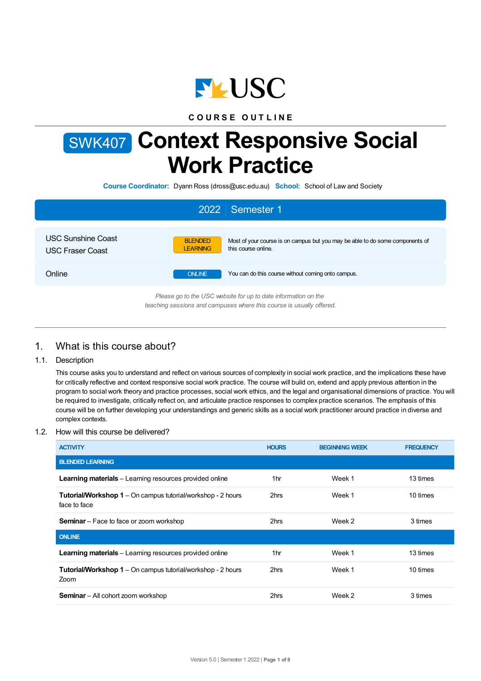

**C O U R S E O U T L I N E**

# SWK407 **Context Responsive Social Work Practice**

**Course Coordinator:** Dyann Ross (dross@usc.edu.au) **School:** School of Law and Society

|                                                      | 2022 Semester 1                                                                                                                           |
|------------------------------------------------------|-------------------------------------------------------------------------------------------------------------------------------------------|
| <b>USC Sunshine Coast</b><br><b>USC Fraser Coast</b> | Most of your course is on campus but you may be able to do some components of<br><b>BLENDED</b><br><b>LEARNING</b><br>this course online. |
| Online                                               | <b>ONLINE</b><br>You can do this course without coming onto campus.                                                                       |
|                                                      | Please go to the USC website for up to date information on the<br>teaching sessions and campuses where this course is usually offered.    |

# 1. What is this course about?

## 1.1. Description

This course asks you to understand and reflect on various sources of complexity in social work practice, and the implications these have for critically reflective and context responsive social work practice. The course will build on, extend and apply previous attention in the program to social work theory and practice processes, social work ethics, and the legal and organisational dimensions of practice. You will be required to investigate, critically reflect on, and articulate practice responses to complex practice scenarios. The emphasis of this course will be on further developing your understandings and generic skills as a social work practitioner around practice in diverse and complex contexts.

#### 1.2. How will this course be delivered?

| <b>ACTIVITY</b>                                                                    | <b>HOURS</b> | <b>BEGINNING WEEK</b> | <b>FREQUENCY</b> |
|------------------------------------------------------------------------------------|--------------|-----------------------|------------------|
| <b>BLENDED LEARNING</b>                                                            |              |                       |                  |
| Learning materials - Learning resources provided online                            | 1hr          | Week 1                | 13 times         |
| <b>Tutorial/Workshop 1</b> – On campus tutorial/workshop - 2 hours<br>face to face | 2hrs         | Week 1                | 10 times         |
| <b>Seminar</b> – Face to face or zoom workshop                                     | 2hrs         | Week 2                | 3 times          |
| <b>ONLINE</b>                                                                      |              |                       |                  |
| <b>Learning materials</b> – Learning resources provided online                     | 1hr          | Week 1                | 13 times         |
| <b>Tutorial/Workshop 1</b> – On campus tutorial/workshop - 2 hours<br>Zoom         | 2hrs         | Week 1                | 10 times         |
| <b>Seminar</b> – All cohort zoom workshop                                          | 2hrs         | Week 2                | 3 times          |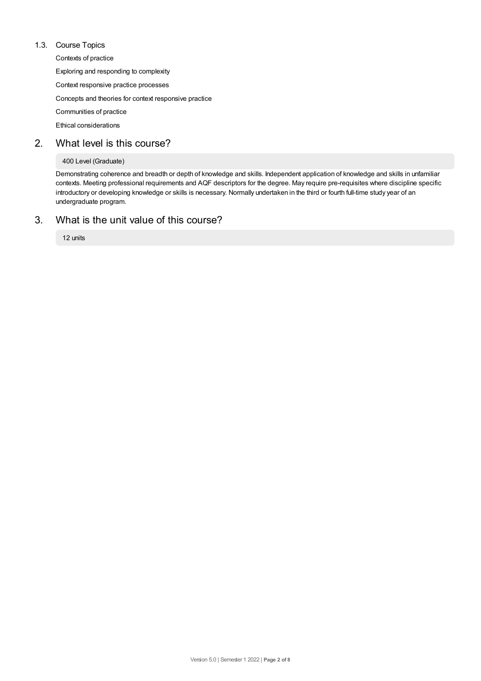#### 1.3. Course Topics

Contexts of practice

Exploring and responding to complexity

Context responsive practice processes

Concepts and theories for context responsive practice

Communities of practice

Ethical considerations

# 2. What level is this course?

#### 400 Level (Graduate)

Demonstrating coherence and breadth or depth of knowledge and skills. Independent application of knowledge and skills in unfamiliar contexts. Meeting professional requirements and AQF descriptors for the degree. May require pre-requisites where discipline specific introductory or developing knowledge or skills is necessary. Normally undertaken in the third or fourth full-time study year of an undergraduate program.

# 3. What is the unit value of this course?

12 units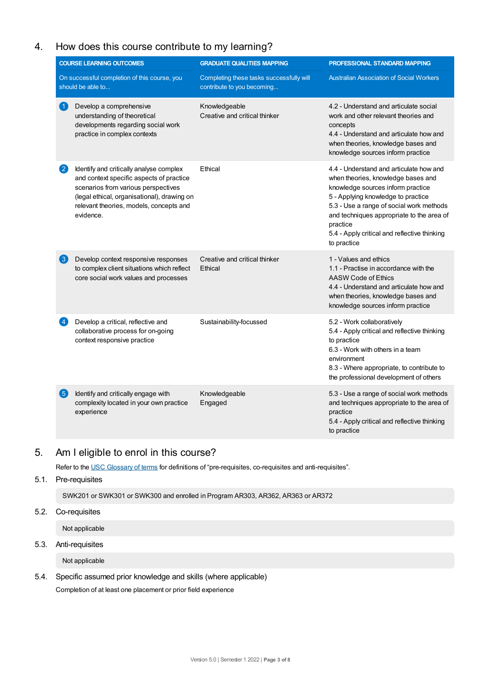# 4. How does this course contribute to my learning?

| <b>COURSE LEARNING OUTCOMES</b> |                                                                                                                                                                                                                                   | <b>GRADUATE QUALITIES MAPPING</b>                                      | PROFESSIONAL STANDARD MAPPING                                                                                                                                                                                                                                                                                                |  |
|---------------------------------|-----------------------------------------------------------------------------------------------------------------------------------------------------------------------------------------------------------------------------------|------------------------------------------------------------------------|------------------------------------------------------------------------------------------------------------------------------------------------------------------------------------------------------------------------------------------------------------------------------------------------------------------------------|--|
|                                 | On successful completion of this course, you<br>should be able to                                                                                                                                                                 | Completing these tasks successfully will<br>contribute to you becoming | <b>Australian Association of Social Workers</b>                                                                                                                                                                                                                                                                              |  |
| $\blacklozenge$                 | Develop a comprehensive<br>understanding of theoretical<br>developments regarding social work<br>practice in complex contexts                                                                                                     | Knowledgeable<br>Creative and critical thinker                         | 4.2 - Understand and articulate social<br>work and other relevant theories and<br>concepts<br>4.4 - Understand and articulate how and<br>when theories, knowledge bases and<br>knowledge sources inform practice                                                                                                             |  |
| $\bf{2}$                        | Identify and critically analyse complex<br>and context specific aspects of practice<br>scenarios from various perspectives<br>(legal ethical, organisational), drawing on<br>relevant theories, models, concepts and<br>evidence. | Ethical                                                                | 4.4 - Understand and articulate how and<br>when theories, knowledge bases and<br>knowledge sources inform practice<br>5 - Applying knowledge to practice<br>5.3 - Use a range of social work methods<br>and techniques appropriate to the area of<br>practice<br>5.4 - Apply critical and reflective thinking<br>to practice |  |
| $\lfloor 3 \rfloor$             | Develop context responsive responses<br>to complex client situations which reflect<br>core social work values and processes                                                                                                       | Creative and critical thinker<br>Ethical                               | 1 - Values and ethics<br>1.1 - Practise in accordance with the<br>AASW Code of Ethics<br>4.4 - Understand and articulate how and<br>when theories, knowledge bases and<br>knowledge sources inform practice                                                                                                                  |  |
| $\vert 4 \rangle$               | Develop a critical, reflective and<br>collaborative process for on-going<br>context responsive practice                                                                                                                           | Sustainability-focussed                                                | 5.2 - Work collaboratively<br>5.4 - Apply critical and reflective thinking<br>to practice<br>6.3 - Work with others in a team<br>environment<br>8.3 - Where appropriate, to contribute to<br>the professional development of others                                                                                          |  |
| 6                               | Identify and critically engage with<br>complexity located in your own practice<br>experience                                                                                                                                      | Knowledgeable<br>Engaged                                               | 5.3 - Use a range of social work methods<br>and techniques appropriate to the area of<br>practice<br>5.4 - Apply critical and reflective thinking<br>to practice                                                                                                                                                             |  |

# 5. Am Ieligible to enrol in this course?

Refer to the USC [Glossary](https://www.usc.edu.au/about/policies-and-procedures/glossary-of-terms-for-policy-and-procedures) of terms for definitions of "pre-requisites, co-requisites and anti-requisites".

## 5.1. Pre-requisites

SWK201 or SWK301 or SWK300 and enrolled in Program AR303, AR362, AR363 or AR372

## 5.2. Co-requisites

Not applicable

## 5.3. Anti-requisites

Not applicable

## 5.4. Specific assumed prior knowledge and skills (where applicable) Completion of at least one placement or prior field experience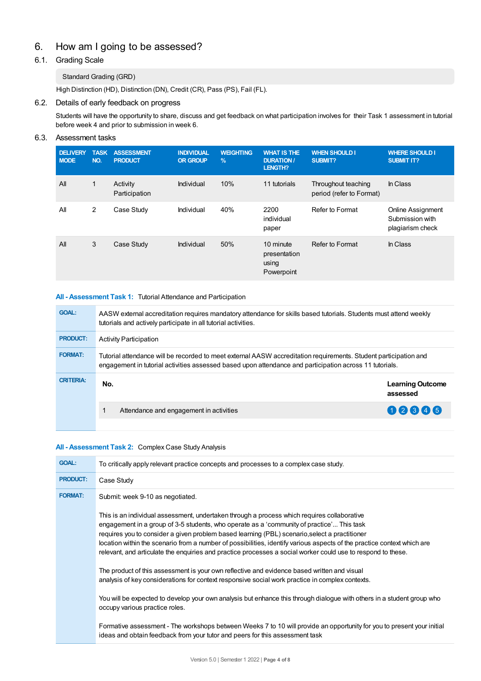# 6. How am Igoing to be assessed?

## 6.1. Grading Scale

## Standard Grading (GRD)

High Distinction (HD), Distinction (DN), Credit (CR), Pass (PS), Fail (FL).

## 6.2. Details of early feedback on progress

Students will have the opportunity to share, discuss and get feedback on what participation involves for their Task 1 assessment in tutorial before week 4 and prior to submission in week 6.

## 6.3. Assessment tasks

| <b>DELIVERY</b><br><b>MODE</b> | <b>TASK</b><br>NO. | <b>ASSESSMENT</b><br><b>PRODUCT</b> | <b>INDIVIDUAL</b><br><b>OR GROUP</b> | <b>WEIGHTING</b><br>$\%$ | <b>WHAT IS THE</b><br><b>DURATION /</b><br>LENGTH? | <b>WHEN SHOULD I</b><br>SUBMIT?                 | <b>WHERE SHOULD I</b><br><b>SUBMIT IT?</b>                      |
|--------------------------------|--------------------|-------------------------------------|--------------------------------------|--------------------------|----------------------------------------------------|-------------------------------------------------|-----------------------------------------------------------------|
| All                            | 1                  | Activity<br>Participation           | Individual                           | 10%                      | 11 tutorials                                       | Throughout teaching<br>period (refer to Format) | In Class                                                        |
| All                            | $\overline{2}$     | Case Study                          | Individual                           | 40%                      | 2200<br>individual<br>paper                        | Refer to Format                                 | <b>Online Assignment</b><br>Submission with<br>plagiarism check |
| All                            | 3                  | Case Study                          | Individual                           | 50%                      | 10 minute<br>presentation<br>using<br>Powerpoint   | Refer to Format                                 | In Class                                                        |

#### **All - Assessment Task 1:** Tutorial Attendance and Participation

| <b>GOAL:</b>     | AASW external accreditation requires mandatory attendance for skills based tutorials. Students must attend weekly<br>tutorials and actively participate in all tutorial activities.                                         |                                     |  |  |
|------------------|-----------------------------------------------------------------------------------------------------------------------------------------------------------------------------------------------------------------------------|-------------------------------------|--|--|
| <b>PRODUCT:</b>  | <b>Activity Participation</b>                                                                                                                                                                                               |                                     |  |  |
| <b>FORMAT:</b>   | Tutorial attendance will be recorded to meet external AASW accreditation requirements. Student participation and<br>engagement in tutorial activities assessed based upon attendance and participation across 11 tutorials. |                                     |  |  |
| <b>CRITERIA:</b> | No.                                                                                                                                                                                                                         | <b>Learning Outcome</b><br>assessed |  |  |
|                  | Attendance and engagement in activities                                                                                                                                                                                     | 02345                               |  |  |
|                  |                                                                                                                                                                                                                             |                                     |  |  |

#### **All - Assessment Task 2:** Complex Case Study Analysis

| <b>GOAL:</b>    | To critically apply relevant practice concepts and processes to a complex case study.                                                                                                                                                                                                                                                                                                                                                                                                                                                |
|-----------------|--------------------------------------------------------------------------------------------------------------------------------------------------------------------------------------------------------------------------------------------------------------------------------------------------------------------------------------------------------------------------------------------------------------------------------------------------------------------------------------------------------------------------------------|
| <b>PRODUCT:</b> | Case Study                                                                                                                                                                                                                                                                                                                                                                                                                                                                                                                           |
| <b>FORMAT:</b>  | Submit: week 9-10 as negotiated.                                                                                                                                                                                                                                                                                                                                                                                                                                                                                                     |
|                 | This is an individual assessment, undertaken through a process which requires collaborative<br>engagement in a group of 3-5 students, who operate as a 'community of practice' This task<br>requires you to consider a given problem based learning (PBL) scenario, select a practitioner<br>location within the scenario from a number of possibilities, identify various aspects of the practice context which are<br>relevant, and articulate the enquiries and practice processes a social worker could use to respond to these. |
|                 | The product of this assessment is your own reflective and evidence based written and visual<br>analysis of key considerations for context responsive social work practice in complex contexts.                                                                                                                                                                                                                                                                                                                                       |
|                 | You will be expected to develop your own analysis but enhance this through dialogue with others in a student group who<br>occupy various practice roles.                                                                                                                                                                                                                                                                                                                                                                             |
|                 | Formative assessment - The workshops between Weeks 7 to 10 will provide an opportunity for you to present your initial<br>ideas and obtain feedback from your tutor and peers for this assessment task                                                                                                                                                                                                                                                                                                                               |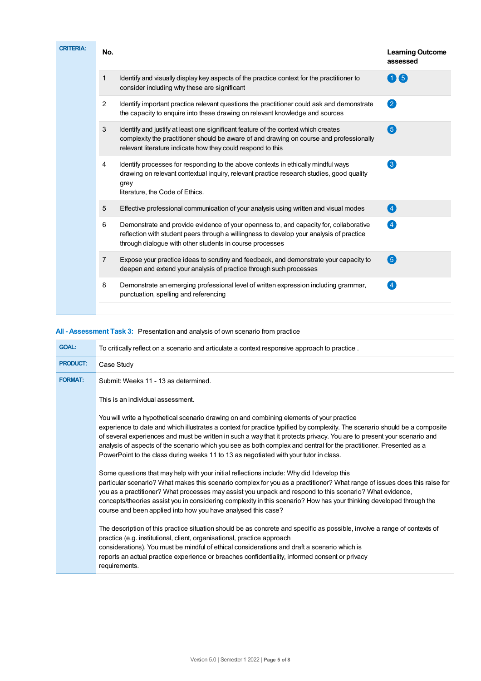| <b>CRITERIA:</b> | No.            |                                                                                                                                                                                                                                               | <b>Learning Outcome</b><br>assessed |
|------------------|----------------|-----------------------------------------------------------------------------------------------------------------------------------------------------------------------------------------------------------------------------------------------|-------------------------------------|
|                  | 1              | Identify and visually display key aspects of the practice context for the practitioner to<br>consider including why these are significant                                                                                                     | 6<br>7                              |
|                  | 2              | Identify important practice relevant questions the practitioner could ask and demonstrate<br>the capacity to enquire into these drawing on relevant knowledge and sources                                                                     | 2                                   |
|                  | 3              | Identify and justify at least one significant feature of the context which creates<br>complexity the practitioner should be aware of and drawing on course and professionally<br>relevant literature indicate how they could respond to this  | 6                                   |
|                  | $\overline{4}$ | Identify processes for responding to the above contexts in ethically mindful ways<br>drawing on relevant contextual inquiry, relevant practice research studies, good quality<br>grey<br>literature, the Code of Ethics.                      | $\left\lceil 3 \right\rceil$        |
|                  | 5              | Effective professional communication of your analysis using written and visual modes                                                                                                                                                          | $\left( 4\right)$                   |
|                  | 6              | Demonstrate and provide evidence of your openness to, and capacity for, collaborative<br>reflection with student peers through a willingness to develop your analysis of practice<br>through dialogue with other students in course processes | $\left 4\right $                    |
|                  | $\overline{7}$ | Expose your practice ideas to scrutiny and feedback, and demonstrate your capacity to<br>deepen and extend your analysis of practice through such processes                                                                                   | $\left( 5\right)$                   |
|                  | 8              | Demonstrate an emerging professional level of written expression including grammar,<br>punctuation, spelling and referencing                                                                                                                  | $\overline{4}$                      |
|                  |                |                                                                                                                                                                                                                                               |                                     |

## **All - Assessment Task 3:** Presentation and analysis of own scenario from practice

| <b>GOAL:</b>    | To critically reflect on a scenario and articulate a context responsive approach to practice.                                                                                                                                                                                                                                                                                                                                                                                                                                                                     |
|-----------------|-------------------------------------------------------------------------------------------------------------------------------------------------------------------------------------------------------------------------------------------------------------------------------------------------------------------------------------------------------------------------------------------------------------------------------------------------------------------------------------------------------------------------------------------------------------------|
| <b>PRODUCT:</b> | Case Study                                                                                                                                                                                                                                                                                                                                                                                                                                                                                                                                                        |
| <b>FORMAT:</b>  | Submit: Weeks 11 - 13 as determined.                                                                                                                                                                                                                                                                                                                                                                                                                                                                                                                              |
|                 | This is an individual assessment.                                                                                                                                                                                                                                                                                                                                                                                                                                                                                                                                 |
|                 | You will write a hypothetical scenario drawing on and combining elements of your practice<br>experience to date and which illustrates a context for practice typified by complexity. The scenario should be a composite<br>of several experiences and must be written in such a way that it protects privacy. You are to present your scenario and<br>analysis of aspects of the scenario which you see as both complex and central for the practitioner. Presented as a<br>PowerPoint to the class during weeks 11 to 13 as negotiated with your tutor in class. |
|                 | Some questions that may help with your initial reflections include: Why did I develop this<br>particular scenario? What makes this scenario complex for you as a practitioner? What range of issues does this raise for<br>you as a practitioner? What processes may assist you unpack and respond to this scenario? What evidence,<br>concepts/theories assist you in considering complexity in this scenario? How has your thinking developed through the<br>course and been applied into how you have analysed this case?                                      |
|                 | The description of this practice situation should be as concrete and specific as possible, involve a range of contexts of<br>practice (e.g. institutional, client, organisational, practice approach<br>considerations). You must be mindful of ethical considerations and draft a scenario which is<br>reports an actual practice experience or breaches confidentiality, informed consent or privacy<br>requirements.                                                                                                                                           |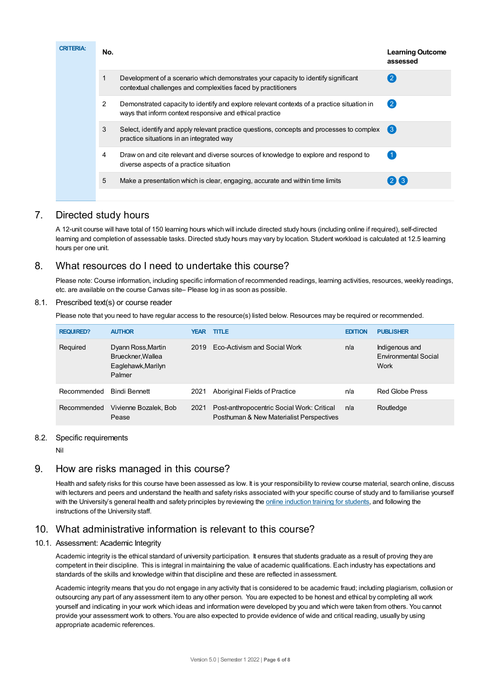| <b>CRITERIA:</b> | No. |                                                                                                                                                        | <b>Learning Outcome</b><br>assessed |
|------------------|-----|--------------------------------------------------------------------------------------------------------------------------------------------------------|-------------------------------------|
|                  |     | Development of a scenario which demonstrates your capacity to identify significant<br>contextual challenges and complexities faced by practitioners    |                                     |
|                  | 2   | Demonstrated capacity to identify and explore relevant contexts of a practice situation in<br>ways that inform context responsive and ethical practice | $\left( 2 \right)$                  |
|                  | 3   | Select, identify and apply relevant practice questions, concepts and processes to complex<br>practice situations in an integrated way                  | 【3】                                 |
|                  | 4   | Draw on and cite relevant and diverse sources of knowledge to explore and respond to<br>diverse aspects of a practice situation                        | $\blacktriangleleft$                |
|                  | 5   | Make a presentation which is clear, engaging, accurate and within time limits                                                                          | $(2)$ $(3)$                         |
|                  |     |                                                                                                                                                        |                                     |

# 7. Directed study hours

A 12-unit course will have total of 150 learning hours which will include directed study hours (including online if required), self-directed learning and completion of assessable tasks. Directed study hours may vary by location. Student workload is calculated at 12.5 learning hours per one unit.

# 8. What resources do I need to undertake this course?

Please note: Course information, including specific information of recommended readings, learning activities, resources, weekly readings, etc. are available on the course Canvas site– Please log in as soon as possible.

#### 8.1. Prescribed text(s) or course reader

Please note that you need to have regular access to the resource(s) listed below. Resources may be required or recommended.

| <b>REQUIRED?</b> | <b>AUTHOR</b>                                                           | YEAR. | <b>TITLE</b>                                                                           | <b>EDITION</b> | <b>PUBLISHER</b>                               |
|------------------|-------------------------------------------------------------------------|-------|----------------------------------------------------------------------------------------|----------------|------------------------------------------------|
| Required         | Dyann Ross, Martin<br>Brueckner, Wallea<br>Eaglehawk, Marilyn<br>Palmer | 2019  | Eco-Activism and Social Work                                                           | n/a            | Indigenous and<br>Environmental Social<br>Work |
| Recommended      | <b>Bindi Bennett</b>                                                    | 2021  | Aboriginal Fields of Practice                                                          | n/a            | <b>Red Globe Press</b>                         |
| Recommended      | Vivienne Bozalek, Bob<br>Pease                                          | 2021  | Post-anthropocentric Social Work: Critical<br>Posthuman & New Materialist Perspectives | n/a            | Routledge                                      |

#### 8.2. Specific requirements

Nil

# 9. How are risks managed in this course?

Health and safety risks for this course have been assessed as low. It is your responsibility to review course material, search online, discuss with lecturers and peers and understand the health and safety risks associated with your specific course of study and to familiarise yourself with the University's general health and safety principles by reviewing the online [induction](https://online.usc.edu.au/webapps/blackboard/content/listContentEditable.jsp?content_id=_632657_1&course_id=_14432_1) training for students, and following the instructions of the University staff.

# 10. What administrative information is relevant to this course?

## 10.1. Assessment: Academic Integrity

Academic integrity is the ethical standard of university participation. It ensures that students graduate as a result of proving they are competent in their discipline. This is integral in maintaining the value of academic qualifications. Each industry has expectations and standards of the skills and knowledge within that discipline and these are reflected in assessment.

Academic integrity means that you do not engage in any activity that is considered to be academic fraud; including plagiarism, collusion or outsourcing any part of any assessment item to any other person. You are expected to be honest and ethical by completing all work yourself and indicating in your work which ideas and information were developed by you and which were taken from others. You cannot provide your assessment work to others.You are also expected to provide evidence of wide and critical reading, usually by using appropriate academic references.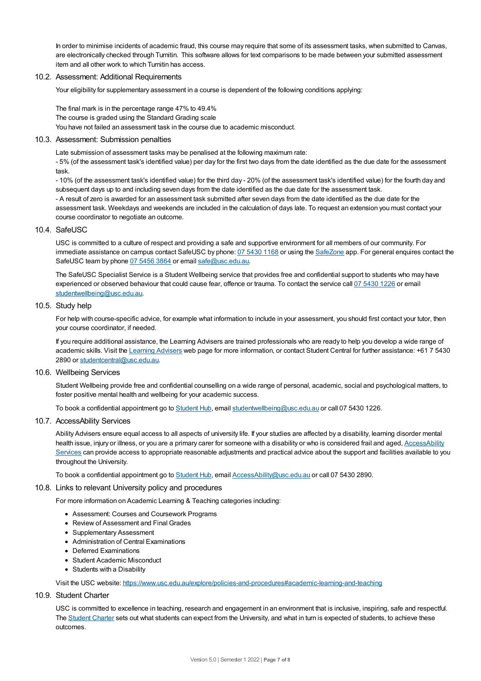In order to minimise incidents of academic fraud, this course may require that some of its assessment tasks, when submitted to Canvas, are electronically checked through Turnitin. This software allows for text comparisons to be made between your submitted assessment item and all other work to which Turnitin has access.

#### 10.2. Assessment: Additional Requirements

Your eligibility for supplementary assessment in a course is dependent of the following conditions applying:

The final mark is in the percentage range 47% to 49.4% The course is graded using the Standard Grading scale You have not failed an assessment task in the course due to academic misconduct.

#### 10.3. Assessment: Submission penalties

Late submission of assessment tasks may be penalised at the following maximum rate: - 5% (of the assessment task's identified value) per day for the first two days from the date identified as the due date for the assessment task.

- 10% (of the assessment task's identified value) for the third day - 20% (of the assessment task's identified value) for the fourth day and subsequent days up to and including seven days from the date identified as the due date for the assessment task. - A result of zero is awarded for an assessment task submitted after seven days from the date identified as the due date for the assessment task. Weekdays and weekends are included in the calculation of days late. To request an extension you must contact your course coordinator to negotiate an outcome.

#### 10.4. SafeUSC

USC is committed to a culture of respect and providing a safe and supportive environment for all members of our community. For immediate assistance on campus contact SafeUSC by phone: 07 [5430](tel:07%205430%201168) 1168 or using the [SafeZone](https://www.safezoneapp.com) app. For general enquires contact the SafeUSC team by phone 07 [5456](tel:07%205456%203864) 3864 or email [safe@usc.edu.au](mailto:safe@usc.edu.au).

The SafeUSC Specialist Service is a Student Wellbeing service that provides free and confidential support to students who may have experienced or observed behaviour that could cause fear, offence or trauma. To contact the service call 07 [5430](tel:07%205430%201226) 1226 or email [studentwellbeing@usc.edu.au](mailto:studentwellbeing@usc.edu.au).

#### 10.5. Study help

For help with course-specific advice, for example what information to include in your assessment, you should first contact your tutor, then your course coordinator, if needed.

If you require additional assistance, the Learning Advisers are trained professionals who are ready to help you develop a wide range of academic skills. Visit the Learning [Advisers](https://www.usc.edu.au/current-students/student-support/academic-and-study-support/learning-advisers) web page for more information, or contact Student Central for further assistance: +61 7 5430 2890 or [studentcentral@usc.edu.au](mailto:studentcentral@usc.edu.au).

#### 10.6. Wellbeing Services

Student Wellbeing provide free and confidential counselling on a wide range of personal, academic, social and psychological matters, to foster positive mental health and wellbeing for your academic success.

To book a confidential appointment go to [Student](https://studenthub.usc.edu.au/) Hub, email [studentwellbeing@usc.edu.au](mailto:studentwellbeing@usc.edu.au) or call 07 5430 1226.

#### 10.7. AccessAbility Services

Ability Advisers ensure equal access to all aspects of university life. If your studies are affected by a disability, learning disorder mental health issue, injury or illness, or you are a primary carer for someone with a disability or who is considered frail and aged, [AccessAbility](https://www.usc.edu.au/learn/student-support/accessability-services/documentation-requirements) Services can provide access to appropriate reasonable adjustments and practical advice about the support and facilities available to you throughout the University.

To book a confidential appointment go to [Student](https://studenthub.usc.edu.au/) Hub, email [AccessAbility@usc.edu.au](mailto:AccessAbility@usc.edu.au) or call 07 5430 2890.

#### 10.8. Links to relevant University policy and procedures

For more information on Academic Learning & Teaching categories including:

- Assessment: Courses and Coursework Programs
- Review of Assessment and Final Grades
- Supplementary Assessment
- Administration of Central Examinations
- Deferred Examinations
- Student Academic Misconduct
- Students with a Disability

Visit the USC website: <https://www.usc.edu.au/explore/policies-and-procedures#academic-learning-and-teaching>

#### 10.9. Student Charter

USC is committed to excellence in teaching, research and engagement in an environment that is inclusive, inspiring, safe and respectful. The [Student](https://www.usc.edu.au/current-students/student-charter) Charter sets out what students can expect from the University, and what in turn is expected of students, to achieve these outcomes.